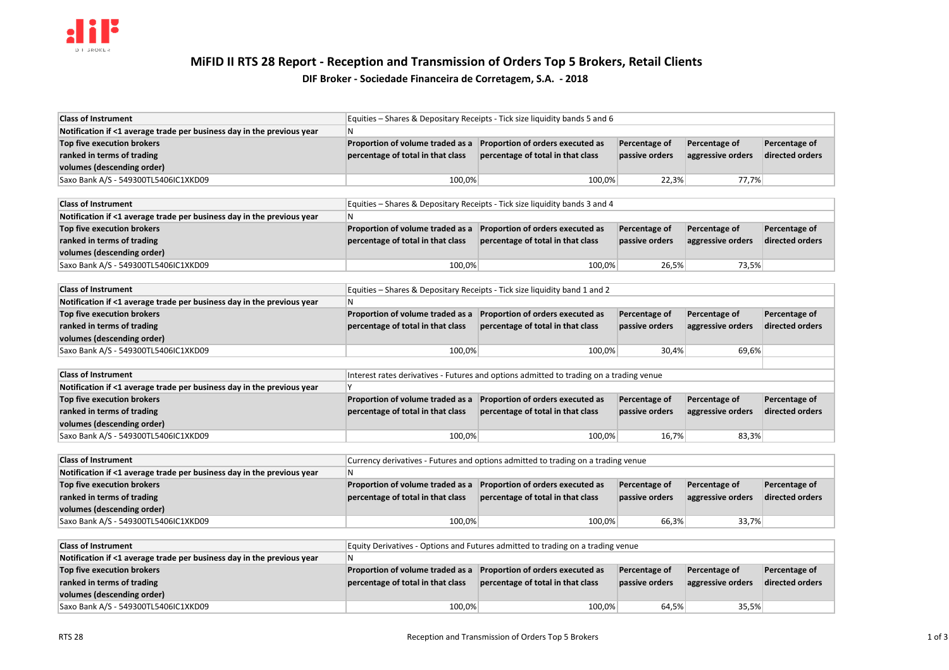

# **MiFID II RTS 28 Report - Reception and Transmission of Orders Top 5 Brokers, Retail Clients**

# **DIF Broker - Sociedade Financeira de Corretagem, S.A. - 2018**

| <b>Class of Instrument</b>                                             | Equities – Shares & Depositary Receipts - Tick size liquidity bands 5 and 6 |                                   |                |                   |                 |
|------------------------------------------------------------------------|-----------------------------------------------------------------------------|-----------------------------------|----------------|-------------------|-----------------|
| Notification if <1 average trade per business day in the previous year | 'N                                                                          |                                   |                |                   |                 |
| Top five execution brokers                                             | Proportion of volume traded as a                                            | Proportion of orders executed as  | Percentage of  | Percentage of     | Percentage of   |
| ranked in terms of trading                                             | percentage of total in that class                                           | percentage of total in that class | passive orders | aggressive orders | directed orders |
| volumes (descending order)                                             |                                                                             |                                   |                |                   |                 |
| Saxo Bank A/S - 549300TL5406IC1XKD09                                   | 100,0%                                                                      | 100,0%                            | 22.3%          | 77,7%             |                 |

| <b>Class of Instrument</b>                                             | Equities – Shares & Depositary Receipts - Tick size liquidity bands 3 and 4 |                                   |                |                   |                 |
|------------------------------------------------------------------------|-----------------------------------------------------------------------------|-----------------------------------|----------------|-------------------|-----------------|
| Notification if <1 average trade per business day in the previous year | IN                                                                          |                                   |                |                   |                 |
| Top five execution brokers                                             | <b>Proportion of volume traded as a</b>                                     | Proportion of orders executed as  | Percentage of  | Percentage of     | Percentage of   |
| ranked in terms of trading                                             | percentage of total in that class                                           | percentage of total in that class | passive orders | aggressive orders | directed orders |
| volumes (descending order)                                             |                                                                             |                                   |                |                   |                 |
| Saxo Bank A/S - 549300TL5406IC1XKD09                                   | 100,0%                                                                      | 100,0%                            | 26,5%          | 73,5%             |                 |

| <b>Class of Instrument</b>                                             | Equities – Shares & Depositary Receipts - Tick size liquidity band 1 and 2 |                                   |                |                   |                 |
|------------------------------------------------------------------------|----------------------------------------------------------------------------|-----------------------------------|----------------|-------------------|-----------------|
| Notification if <1 average trade per business day in the previous year | N                                                                          |                                   |                |                   |                 |
| Top five execution brokers                                             | Proportion of volume traded as a                                           | Proportion of orders executed as  | Percentage of  | Percentage of     | Percentage of   |
| ranked in terms of trading                                             | percentage of total in that class                                          | percentage of total in that class | passive orders | aggressive orders | directed orders |
| volumes (descending order)                                             |                                                                            |                                   |                |                   |                 |
| Saxo Bank A/S - 549300TL5406IC1XKD09                                   | 100,0%                                                                     | 100.0%                            | 30,4%          | 69,6%             |                 |
|                                                                        |                                                                            |                                   |                |                   |                 |

| <b>Class of Instrument</b>                                             | Interest rates derivatives - Futures and options admitted to trading on a trading venue |                                   |                |                   |                 |
|------------------------------------------------------------------------|-----------------------------------------------------------------------------------------|-----------------------------------|----------------|-------------------|-----------------|
| Notification if <1 average trade per business day in the previous year |                                                                                         |                                   |                |                   |                 |
| Top five execution brokers                                             | Proportion of volume traded as a                                                        | Proportion of orders executed as  | Percentage of  | Percentage of     | Percentage of   |
| ranked in terms of trading                                             | percentage of total in that class                                                       | percentage of total in that class | passive orders | aggressive orders | directed orders |
| volumes (descending order)                                             |                                                                                         |                                   |                |                   |                 |
| Saxo Bank A/S - 549300TL5406IC1XKD09                                   | 100,0%                                                                                  | 100,0%                            | 16,7%          | 83,3%             |                 |

| <b>Class of Instrument</b>                                             | Currency derivatives - Futures and options admitted to trading on a trading venue |                                   |                |                   |                 |
|------------------------------------------------------------------------|-----------------------------------------------------------------------------------|-----------------------------------|----------------|-------------------|-----------------|
| Notification if <1 average trade per business day in the previous year | N                                                                                 |                                   |                |                   |                 |
| Top five execution brokers                                             | Proportion of volume traded as a                                                  | Proportion of orders executed as  | Percentage of  | Percentage of     | Percentage of   |
| ranked in terms of trading                                             | percentage of total in that class                                                 | percentage of total in that class | passive orders | aggressive orders | directed orders |
| volumes (descending order)                                             |                                                                                   |                                   |                |                   |                 |
| Saxo Bank A/S - 549300TL5406IC1XKD09                                   | 100,0%                                                                            | 100,0%                            | 66,3%          | 33,7%             |                 |

| <b>Class of Instrument</b>                                             | Equity Derivatives - Options and Futures admitted to trading on a trading venue |                                   |                |                   |                 |
|------------------------------------------------------------------------|---------------------------------------------------------------------------------|-----------------------------------|----------------|-------------------|-----------------|
| Notification if <1 average trade per business day in the previous year | 'N                                                                              |                                   |                |                   |                 |
| Top five execution brokers                                             | Proportion of volume traded as a                                                | Proportion of orders executed as  | Percentage of  | Percentage of     | Percentage of   |
| ranked in terms of trading                                             | percentage of total in that class                                               | percentage of total in that class | passive orders | aggressive orders | directed orders |
| volumes (descending order)                                             |                                                                                 |                                   |                |                   |                 |
| Saxo Bank A/S - 549300TL5406IC1XKD09                                   | 100,0%                                                                          | 100,0%                            | 64,5%          | 35,5%             |                 |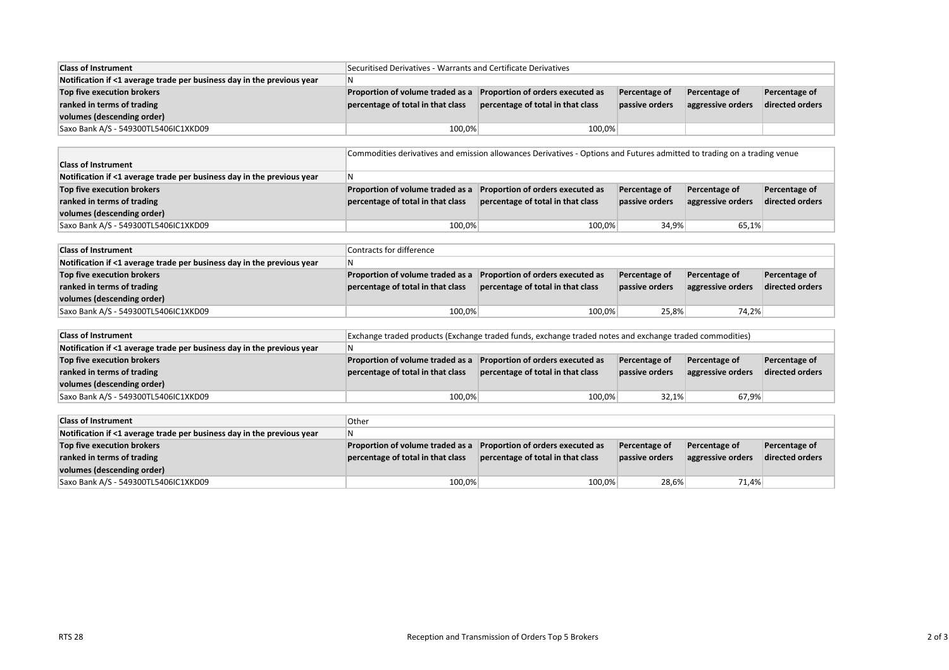| <b>Class of Instrument</b>                                             | Securitised Derivatives - Warrants and Certificate Derivatives |                                   |                |                   |                 |
|------------------------------------------------------------------------|----------------------------------------------------------------|-----------------------------------|----------------|-------------------|-----------------|
| Notification if <1 average trade per business day in the previous year | IN.                                                            |                                   |                |                   |                 |
| Top five execution brokers                                             | Proportion of volume traded as a                               | Proportion of orders executed as  | Percentage of  | Percentage of     | Percentage of   |
| ranked in terms of trading                                             | percentage of total in that class                              | percentage of total in that class | passive orders | aggressive orders | directed orders |
| volumes (descending order)                                             |                                                                |                                   |                |                   |                 |
| Saxo Bank A/S - 549300TL5406IC1XKD09                                   | 100,0%                                                         | 100,0%                            |                |                   |                 |

|                                                                        | Commodities derivatives and emission allowances Derivatives - Options and Futures admitted to trading on a trading venue |                                   |                |                   |                 |
|------------------------------------------------------------------------|--------------------------------------------------------------------------------------------------------------------------|-----------------------------------|----------------|-------------------|-----------------|
| <b>Class of Instrument</b>                                             |                                                                                                                          |                                   |                |                   |                 |
| Notification if <1 average trade per business day in the previous year | IN.                                                                                                                      |                                   |                |                   |                 |
| Top five execution brokers                                             | Proportion of volume traded as a                                                                                         | Proportion of orders executed as  | Percentage of  | Percentage of     | Percentage of   |
| ranked in terms of trading                                             | percentage of total in that class                                                                                        | percentage of total in that class | passive orders | aggressive orders | directed orders |
| volumes (descending order)                                             |                                                                                                                          |                                   |                |                   |                 |
| Saxo Bank A/S - 549300TL5406IC1XKD09                                   | 100,0%                                                                                                                   | 100.0%                            | 34,9%          | 65,1%             |                 |

| <b>Class of Instrument</b>                                             | Contracts for difference          |                                   |                |                   |                 |
|------------------------------------------------------------------------|-----------------------------------|-----------------------------------|----------------|-------------------|-----------------|
| Notification if <1 average trade per business day in the previous year | N                                 |                                   |                |                   |                 |
| Top five execution brokers                                             | Proportion of volume traded as a  | Proportion of orders executed as  | Percentage of  | Percentage of     | Percentage of   |
| ranked in terms of trading                                             | percentage of total in that class | percentage of total in that class | passive orders | aggressive orders | directed orders |
| volumes (descending order)                                             |                                   |                                   |                |                   |                 |
| Saxo Bank A/S - 549300TL5406IC1XKD09                                   | 100,0%                            | 100,0%                            | 25,8%          | 74,2%             |                 |

| <b>Class of Instrument</b>                                             | Exchange traded products (Exchange traded funds, exchange traded notes and exchange traded commodities) |                                   |                |                   |                 |
|------------------------------------------------------------------------|---------------------------------------------------------------------------------------------------------|-----------------------------------|----------------|-------------------|-----------------|
| Notification if <1 average trade per business day in the previous year | N                                                                                                       |                                   |                |                   |                 |
| Top five execution brokers                                             | Proportion of volume traded as a                                                                        | Proportion of orders executed as  | Percentage of  | Percentage of     | Percentage of   |
| ranked in terms of trading                                             | percentage of total in that class                                                                       | percentage of total in that class | passive orders | aggressive orders | directed orders |
| volumes (descending order)                                             |                                                                                                         |                                   |                |                   |                 |
| Saxo Bank A/S - 549300TL5406IC1XKD09                                   | 100,0%                                                                                                  | 100,0%                            | 32,1%          | 67,9%             |                 |

| <b>Class of Instrument</b>                                             | Other                             |                                   |                      |                   |                 |
|------------------------------------------------------------------------|-----------------------------------|-----------------------------------|----------------------|-------------------|-----------------|
| Notification if <1 average trade per business day in the previous year | l N                               |                                   |                      |                   |                 |
| Top five execution brokers                                             | Proportion of volume traded as a  | Proportion of orders executed as  | <b>Percentage of</b> | Percentage of     | Percentage of   |
| ranked in terms of trading                                             | percentage of total in that class | percentage of total in that class | passive orders       | aggressive orders | directed orders |
| volumes (descending order)                                             |                                   |                                   |                      |                   |                 |
| Saxo Bank A/S - 549300TL5406IC1XKD09                                   | 100,0%                            | 100,0%                            | 28,6%                | 71,4%             |                 |